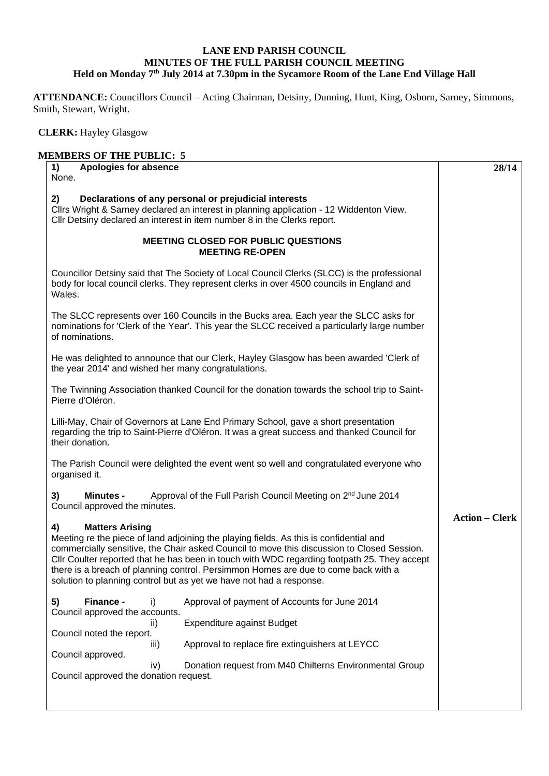## **LANE END PARISH COUNCIL MINUTES OF THE FULL PARISH COUNCIL MEETING**  Held on Monday 7<sup>th</sup> July 2014 at 7.30pm in the Sycamore Room of the Lane End Village Hall

**ATTENDANCE:** Councillors Council – Acting Chairman, Detsiny, Dunning, Hunt, King, Osborn, Sarney, Simmons, Smith, Stewart, Wright.

 **CLERK:** Hayley Glasgow

| Apologies for absence<br>1)<br>None.                                                                                                                                                                                                                                                                                                                                                                                                                                             | 28/14                                                                                             |
|----------------------------------------------------------------------------------------------------------------------------------------------------------------------------------------------------------------------------------------------------------------------------------------------------------------------------------------------------------------------------------------------------------------------------------------------------------------------------------|---------------------------------------------------------------------------------------------------|
| 2)<br>Declarations of any personal or prejudicial interests<br>Cllrs Wright & Sarney declared an interest in planning application - 12 Widdenton View.<br>Cllr Detsiny declared an interest in item number 8 in the Clerks report.                                                                                                                                                                                                                                               |                                                                                                   |
| <b>MEETING CLOSED FOR PUBLIC QUESTIONS</b>                                                                                                                                                                                                                                                                                                                                                                                                                                       | <b>MEETING RE-OPEN</b>                                                                            |
| Councillor Detsiny said that The Society of Local Council Clerks (SLCC) is the professional<br>body for local council clerks. They represent clerks in over 4500 councils in England and<br>Wales.                                                                                                                                                                                                                                                                               |                                                                                                   |
| The SLCC represents over 160 Councils in the Bucks area. Each year the SLCC asks for<br>nominations for 'Clerk of the Year'. This year the SLCC received a particularly large number<br>of nominations.                                                                                                                                                                                                                                                                          |                                                                                                   |
| He was delighted to announce that our Clerk, Hayley Glasgow has been awarded 'Clerk of<br>the year 2014' and wished her many congratulations.                                                                                                                                                                                                                                                                                                                                    |                                                                                                   |
| The Twinning Association thanked Council for the donation towards the school trip to Saint-<br>Pierre d'Oléron.                                                                                                                                                                                                                                                                                                                                                                  |                                                                                                   |
| Lilli-May, Chair of Governors at Lane End Primary School, gave a short presentation<br>regarding the trip to Saint-Pierre d'Oléron. It was a great success and thanked Council for<br>their donation.                                                                                                                                                                                                                                                                            |                                                                                                   |
| The Parish Council were delighted the event went so well and congratulated everyone who<br>organised it.                                                                                                                                                                                                                                                                                                                                                                         |                                                                                                   |
| <b>Minutes -</b><br>3)<br>Council approved the minutes.                                                                                                                                                                                                                                                                                                                                                                                                                          | Approval of the Full Parish Council Meeting on 2 <sup>nd</sup> June 2014<br><b>Action – Clerk</b> |
| <b>Matters Arising</b><br>4)<br>Meeting re the piece of land adjoining the playing fields. As this is confidential and<br>commercially sensitive, the Chair asked Council to move this discussion to Closed Session.<br>Cllr Coulter reported that he has been in touch with WDC regarding footpath 25. They accept<br>there is a breach of planning control. Persimmon Homes are due to come back with a<br>solution to planning control but as yet we have not had a response. |                                                                                                   |
| Finance -<br>5)<br>i)<br>Council approved the accounts.                                                                                                                                                                                                                                                                                                                                                                                                                          | Approval of payment of Accounts for June 2014                                                     |
| Expenditure against Budget<br>ii)<br>Council noted the report.                                                                                                                                                                                                                                                                                                                                                                                                                   |                                                                                                   |
| iii)<br>Council approved.                                                                                                                                                                                                                                                                                                                                                                                                                                                        | Approval to replace fire extinguishers at LEYCC                                                   |
| iv)<br>Council approved the donation request.                                                                                                                                                                                                                                                                                                                                                                                                                                    | Donation request from M40 Chilterns Environmental Group                                           |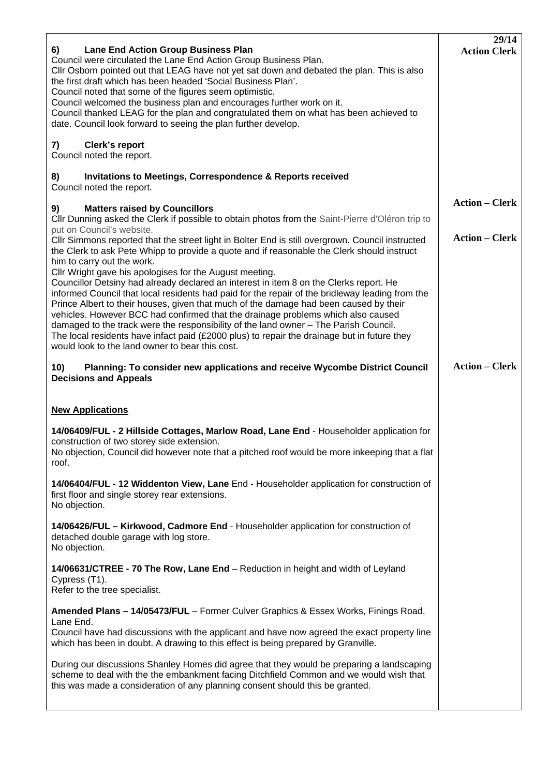| <b>Lane End Action Group Business Plan</b><br>6)<br>Council were circulated the Lane End Action Group Business Plan.<br>Cllr Osborn pointed out that LEAG have not yet sat down and debated the plan. This is also<br>the first draft which has been headed 'Social Business Plan'.<br>Council noted that some of the figures seem optimistic.<br>Council welcomed the business plan and encourages further work on it.<br>Council thanked LEAG for the plan and congratulated them on what has been achieved to<br>date. Council look forward to seeing the plan further develop.                                                                                                                                                                                                                      | 29/14<br><b>Action Clerk</b>                   |
|---------------------------------------------------------------------------------------------------------------------------------------------------------------------------------------------------------------------------------------------------------------------------------------------------------------------------------------------------------------------------------------------------------------------------------------------------------------------------------------------------------------------------------------------------------------------------------------------------------------------------------------------------------------------------------------------------------------------------------------------------------------------------------------------------------|------------------------------------------------|
| <b>Clerk's report</b><br>7)<br>Council noted the report.                                                                                                                                                                                                                                                                                                                                                                                                                                                                                                                                                                                                                                                                                                                                                |                                                |
| <b>Invitations to Meetings, Correspondence &amp; Reports received</b><br>8)<br>Council noted the report.                                                                                                                                                                                                                                                                                                                                                                                                                                                                                                                                                                                                                                                                                                |                                                |
| <b>Matters raised by Councillors</b><br>9)<br>Cllr Dunning asked the Clerk if possible to obtain photos from the Saint-Pierre d'Oléron trip to<br>put on Council's website.<br>CIIr Simmons reported that the street light in Bolter End is still overgrown. Council instructed                                                                                                                                                                                                                                                                                                                                                                                                                                                                                                                         | <b>Action – Clerk</b><br><b>Action – Clerk</b> |
| the Clerk to ask Pete Whipp to provide a quote and if reasonable the Clerk should instruct<br>him to carry out the work.<br>Cllr Wright gave his apologises for the August meeting.<br>Councillor Detsiny had already declared an interest in item 8 on the Clerks report. He<br>informed Council that local residents had paid for the repair of the bridleway leading from the<br>Prince Albert to their houses, given that much of the damage had been caused by their<br>vehicles. However BCC had confirmed that the drainage problems which also caused<br>damaged to the track were the responsibility of the land owner - The Parish Council.<br>The local residents have infact paid (£2000 plus) to repair the drainage but in future they<br>would look to the land owner to bear this cost. |                                                |
| Planning: To consider new applications and receive Wycombe District Council<br>10)<br><b>Decisions and Appeals</b>                                                                                                                                                                                                                                                                                                                                                                                                                                                                                                                                                                                                                                                                                      | <b>Action – Clerk</b>                          |
| <b>New Applications</b>                                                                                                                                                                                                                                                                                                                                                                                                                                                                                                                                                                                                                                                                                                                                                                                 |                                                |
| 14/06409/FUL - 2 Hillside Cottages, Marlow Road, Lane End - Householder application for<br>construction of two storey side extension.<br>No objection, Council did however note that a pitched roof would be more inkeeping that a flat<br>roof.                                                                                                                                                                                                                                                                                                                                                                                                                                                                                                                                                        |                                                |
| 14/06404/FUL - 12 Widdenton View, Lane End - Householder application for construction of<br>first floor and single storey rear extensions.<br>No objection.                                                                                                                                                                                                                                                                                                                                                                                                                                                                                                                                                                                                                                             |                                                |
| 14/06426/FUL - Kirkwood, Cadmore End - Householder application for construction of<br>detached double garage with log store.<br>No objection.                                                                                                                                                                                                                                                                                                                                                                                                                                                                                                                                                                                                                                                           |                                                |
| 14/06631/CTREE - 70 The Row, Lane End - Reduction in height and width of Leyland<br>Cypress (T1).<br>Refer to the tree specialist.                                                                                                                                                                                                                                                                                                                                                                                                                                                                                                                                                                                                                                                                      |                                                |
| Amended Plans - 14/05473/FUL - Former Culver Graphics & Essex Works, Finings Road,<br>Lane End.<br>Council have had discussions with the applicant and have now agreed the exact property line<br>which has been in doubt. A drawing to this effect is being prepared by Granville.                                                                                                                                                                                                                                                                                                                                                                                                                                                                                                                     |                                                |
| During our discussions Shanley Homes did agree that they would be preparing a landscaping<br>scheme to deal with the the embankment facing Ditchfield Common and we would wish that<br>this was made a consideration of any planning consent should this be granted.                                                                                                                                                                                                                                                                                                                                                                                                                                                                                                                                    |                                                |